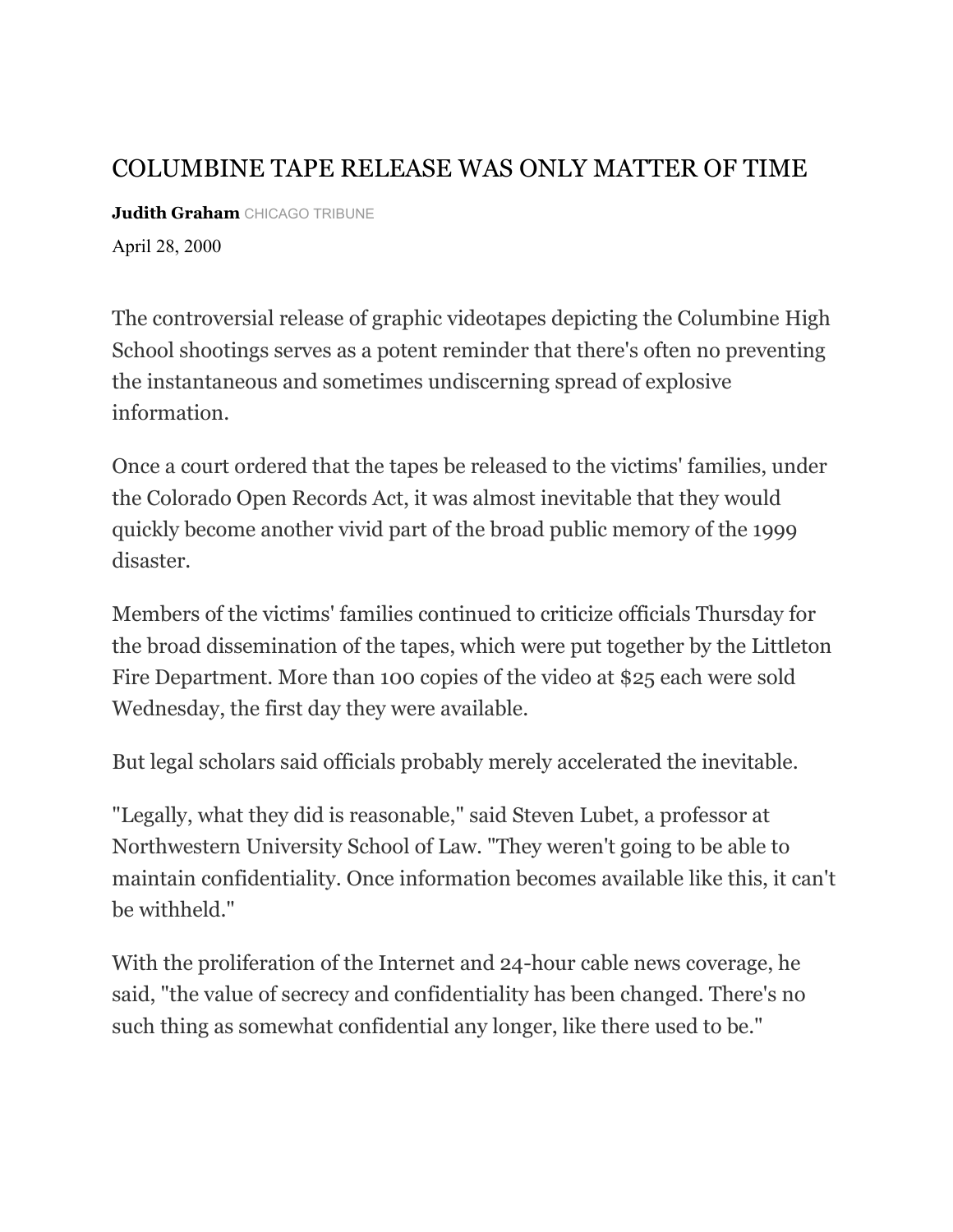## COLUMBINE TAPE RELEASE WAS ONLY MATTER OF TIME

**Judith Graham** CHICAGO TRIBUNE

April 28, 2000

The controversial release of graphic videotapes depicting the Columbine High School shootings serves as a potent reminder that there's often no preventing the instantaneous and sometimes undiscerning spread of explosive information.

Once a court ordered that the tapes be released to the victims' families, under the Colorado Open Records Act, it was almost inevitable that they would quickly become another vivid part of the broad public memory of the 1999 disaster.

Members of the victims' families continued to criticize officials Thursday for the broad dissemination of the tapes, which were put together by the Littleton Fire Department. More than 100 copies of the video at \$25 each were sold Wednesday, the first day they were available.

But legal scholars said officials probably merely accelerated the inevitable.

"Legally, what they did is reasonable," said Steven Lubet, a professor at Northwestern University School of Law. "They weren't going to be able to maintain confidentiality. Once information becomes available like this, it can't be withheld."

With the proliferation of the Internet and 24-hour cable news coverage, he said, "the value of secrecy and confidentiality has been changed. There's no such thing as somewhat confidential any longer, like there used to be."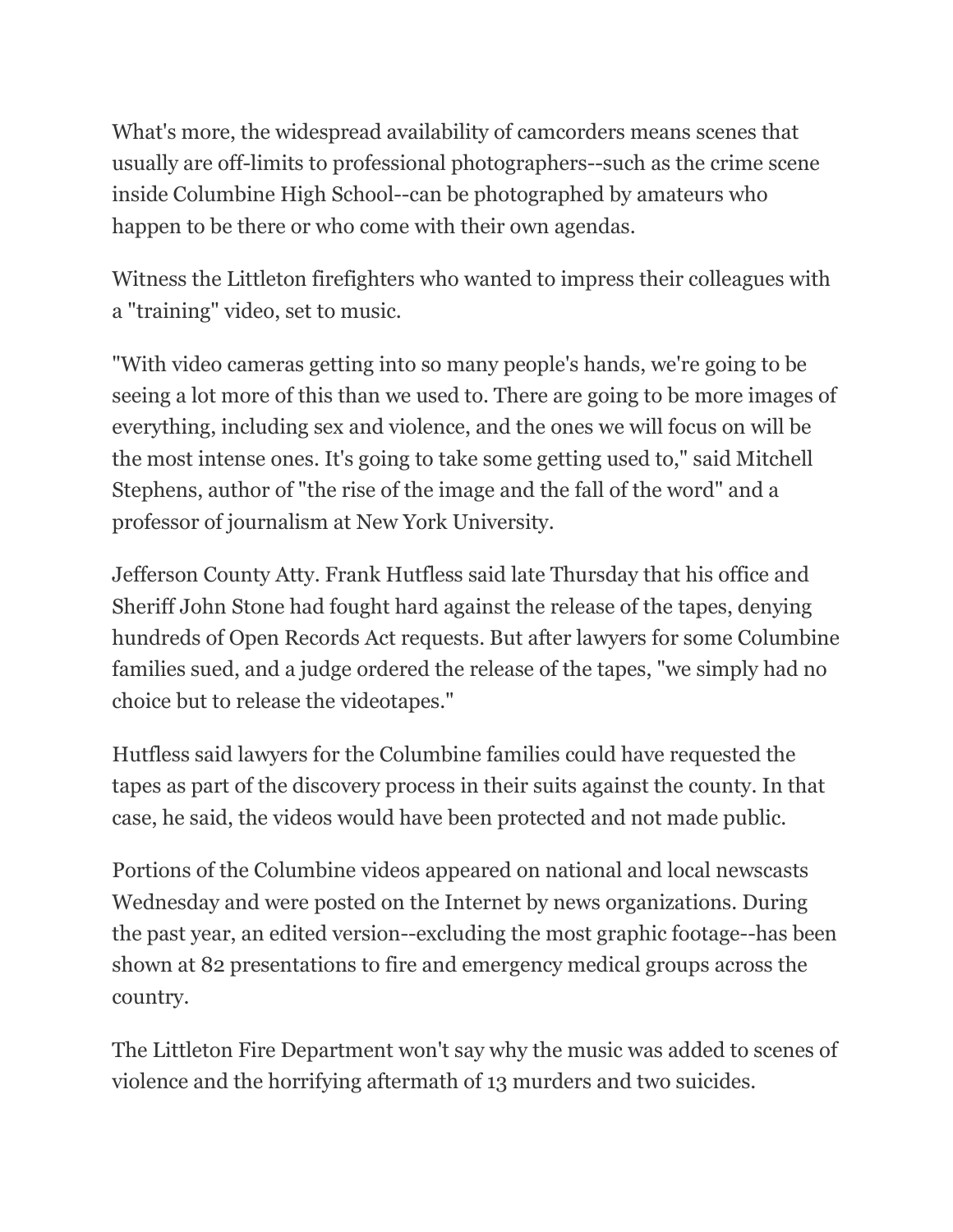What's more, the widespread availability of camcorders means scenes that usually are off-limits to professional photographers--such as the crime scene inside Columbine High School--can be photographed by amateurs who happen to be there or who come with their own agendas.

Witness the Littleton firefighters who wanted to impress their colleagues with a "training" video, set to music.

"With video cameras getting into so many people's hands, we're going to be seeing a lot more of this than we used to. There are going to be more images of everything, including sex and violence, and the ones we will focus on will be the most intense ones. It's going to take some getting used to," said Mitchell Stephens, author of "the rise of the image and the fall of the word" and a professor of journalism at New York University.

Jefferson County Atty. Frank Hutfless said late Thursday that his office and Sheriff John Stone had fought hard against the release of the tapes, denying hundreds of Open Records Act requests. But after lawyers for some Columbine families sued, and a judge ordered the release of the tapes, "we simply had no choice but to release the videotapes."

Hutfless said lawyers for the Columbine families could have requested the tapes as part of the discovery process in their suits against the county. In that case, he said, the videos would have been protected and not made public.

Portions of the Columbine videos appeared on national and local newscasts Wednesday and were posted on the Internet by news organizations. During the past year, an edited version--excluding the most graphic footage--has been shown at 82 presentations to fire and emergency medical groups across the country.

The Littleton Fire Department won't say why the music was added to scenes of violence and the horrifying aftermath of 13 murders and two suicides.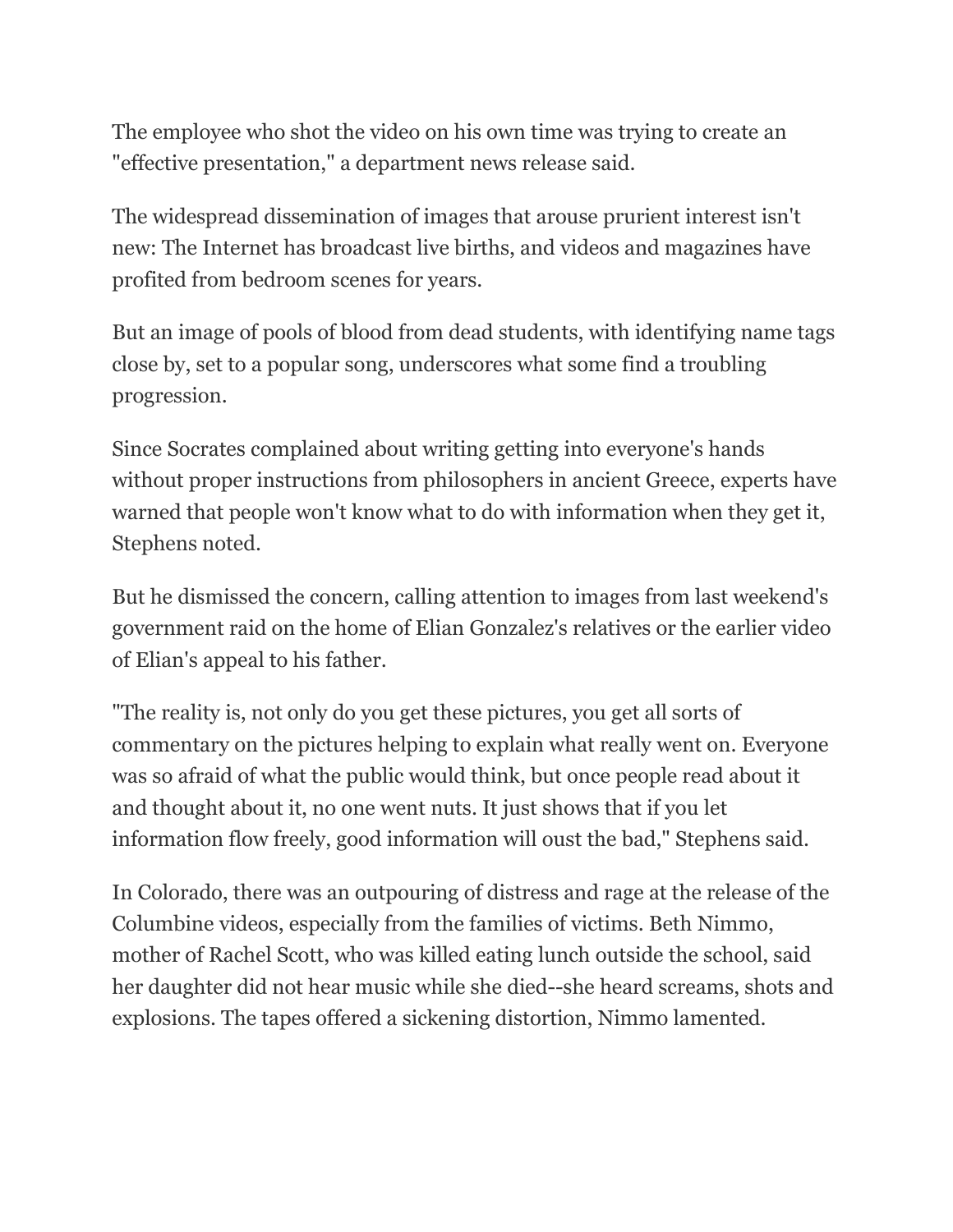The employee who shot the video on his own time was trying to create an "effective presentation," a department news release said.

The widespread dissemination of images that arouse prurient interest isn't new: The Internet has broadcast live births, and videos and magazines have profited from bedroom scenes for years.

But an image of pools of blood from dead students, with identifying name tags close by, set to a popular song, underscores what some find a troubling progression.

Since Socrates complained about writing getting into everyone's hands without proper instructions from philosophers in ancient Greece, experts have warned that people won't know what to do with information when they get it, Stephens noted.

But he dismissed the concern, calling attention to images from last weekend's government raid on the home of Elian Gonzalez's relatives or the earlier video of Elian's appeal to his father.

"The reality is, not only do you get these pictures, you get all sorts of commentary on the pictures helping to explain what really went on. Everyone was so afraid of what the public would think, but once people read about it and thought about it, no one went nuts. It just shows that if you let information flow freely, good information will oust the bad," Stephens said.

In Colorado, there was an outpouring of distress and rage at the release of the Columbine videos, especially from the families of victims. Beth Nimmo, mother of Rachel Scott, who was killed eating lunch outside the school, said her daughter did not hear music while she died--she heard screams, shots and explosions. The tapes offered a sickening distortion, Nimmo lamented.